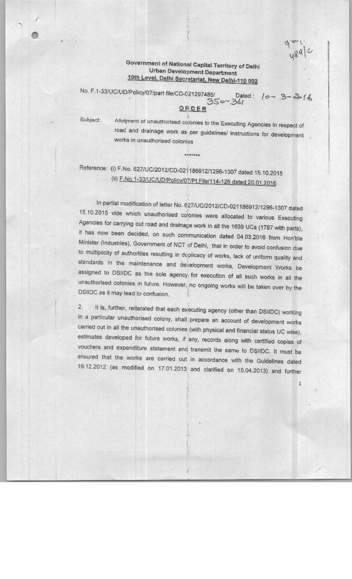## Government of National Capital Territory of Delhi Urban Development Department 10th Level, Delhi Secretariat, New Delhi-110 002 Urban Development Department<br>10th Level, Delhi Secretariat, New Delhi-110 002<br>No. F.1-33/UC/UD/Policy/07/part file/CD-021297485/ Dated :  $\{0 - 3 - 3 + 1\}$

## ORDER

\*\*\*\*\*\*\*

Subject:

Allotment of unauthorised colonies to the Executing Agencies in respect of road and drainage work as per guidelines/ instructions for development works in unauthorised colonies

## Reference: (i) F.No. 627/UC(2O12(CD-02f136912/1236-1307 dated 1S.10.2015 (ii) F.No.1-33/UC/UD/Policy/07/Pt.File/114-126 dated 20.01.2016

In partial modification of letter No. 627/UC(2012ICD-021186912(1296-1307 dated 15.10.2015 vide which unauthorised colonies were allocated to various Executing Agencies for carrying out road and drainage work in all the 1639 UCs(1797 with parts), it has now been decided, on such communication dated 04.03.2016 from Hon'ble<br>Minister (Industries), Government of NCT of Delhi, that in order to avoid confusion due to multiplicity of authorities resulting in duplicacy of works, lack of uniform quality and standards in the maintenance and development works, Development Works be assigned to DSI1DC as the sole agency, for execution of ail such works in all the unauthorised colonies in future. However, no ongoing works will be taken over by the DSIIDC as it may lead to confusion.

2. It is, further, reiterated that each executing agency (other than DSilDC) working in a particular unauthorised colony, shall prepare an account of development works carried out in all the unauthorised colonies (with physical and financial status UC wise), estimates developed for future works, if any, records along with certified copies of vouchers and expenditure statement and transmit the same to DSIIDC. It must be ensured that the works are carried out in accordance with the Guidelines dated 19.122012 (as modified on 17.01.2013 and clarified on 15.04.2013) and further

 $\mathbf{1}$